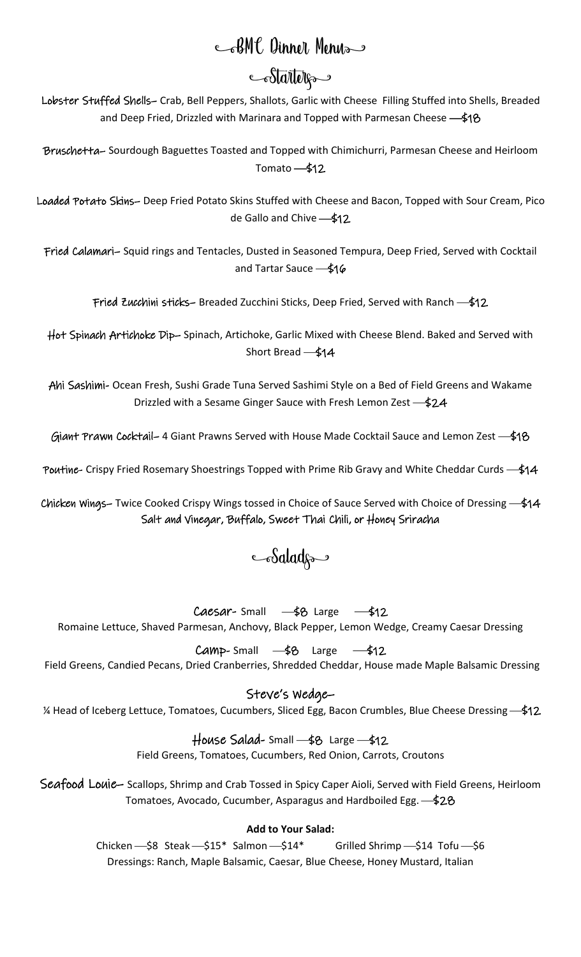# CBMC Dinner Menus

# Stattelfa

Lobster Stuffed Shells– Crab, Bell Peppers, Shallots, Garlic with Cheese Filling Stuffed into Shells, Breaded and Deep Fried, Drizzled with Marinara and Topped with Parmesan Cheese — \$18

Bruschetta– Sourdough Baguettes Toasted and Topped with Chimichurri, Parmesan Cheese and Heirloom Tomato $-\frac{1}{2}$ 12

Loaded Potato Skins– Deep Fried Potato Skins Stuffed with Cheese and Bacon, Topped with Sour Cream, Pico de Gallo and Chive - \$12

Fried Calamari– Squid rings and Tentacles, Dusted in Seasoned Tempura, Deep Fried, Served with Cocktail and Tartar Sauce  $-\frac{2}{3}16$ 

Fried Zucchini sticks- Breaded Zucchini Sticks, Deep Fried, Served with Ranch - \$12

Hot Spinach Artichoke Dip– Spinach, Artichoke, Garlic Mixed with Cheese Blend. Baked and Served with Short Bread - \$14

Ahi Sashimi- Ocean Fresh, Sushi Grade Tuna Served Sashimi Style on a Bed of Field Greens and Wakame Drizzled with a Sesame Ginger Sauce with Fresh Lemon Zest -\$24

Giant Prawn Cocktail- 4 Giant Prawns Served with House Made Cocktail Sauce and Lemon Zest - \$18

Poutine- Crispy Fried Rosemary Shoestrings Topped with Prime Rib Gravy and White Cheddar Curds - \$14

Chicken Wings– Twice Cooked Crispy Wings tossed in Choice of Sauce Served with Choice of Dressing  $-\frac{2}{3}14$ Salt and Vinegar, Buffalo, Sweet Thai Chili, or Honey Sriracha

## Saladga

Caesar-Small  $-\frac{6}{5}$  Large  $-\frac{1}{5}$ 12 Romaine Lettuce, Shaved Parmesan, Anchovy, Black Pepper, Lemon Wedge, Creamy Caesar Dressing

 $Camp-Small$   $-$ \$8 Large  $-$ \$12

Field Greens, Candied Pecans, Dried Cranberries, Shredded Cheddar, House made Maple Balsamic Dressing

## Steve's Wedge–

1⁄4 Head of Iceberg Lettuce, Tomatoes, Cucumbers, Sliced Egg, Bacon Crumbles, Blue Cheese Dressing ← \$12

### $House$  Salad-Small  $-$ \$8 Large  $-$ \$12

Field Greens, Tomatoes, Cucumbers, Red Onion, Carrots, Croutons

Seafood Louie– Scallops, Shrimp and Crab Tossed in Spicy Caper Aioli, Served with Field Greens, Heirloom Tomatoes, Avocado, Cucumber, Asparagus and Hardboiled Egg. - \$28

### **Add to Your Salad:**

Chicken - \$8 Steak - \$15\* Salmon - \$14\* Grilled Shrimp - \$14 Tofu - \$6 Dressings: Ranch, Maple Balsamic, Caesar, Blue Cheese, Honey Mustard, Italian